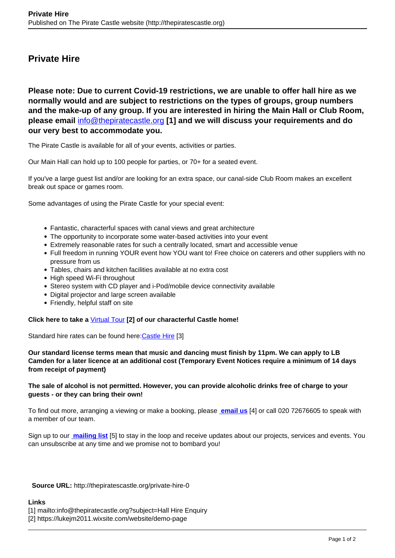## **Private Hire**

**Please note: Due to current Covid-19 restrictions, we are unable to offer hall hire as we normally would and are subject to restrictions on the types of groups, group numbers and the make-up of any group. If you are interested in hiring the Main Hall or Club Room, please email** [info@thepiratecastle.org](mailto:info@thepiratecastle.org?subject=Hall Hire Enquiry) **[1] and we will discuss your requirements and do our very best to accommodate you.**

The Pirate Castle is available for all of your events, activities or parties.

Our Main Hall can hold up to 100 people for parties, or 70+ for a seated event.

If you've a large guest list and/or are looking for an extra space, our canal-side Club Room makes an excellent break out space or games room.

Some advantages of using the Pirate Castle for your special event:

- Fantastic, characterful spaces with canal views and great architecture
- The opportunity to incorporate some water-based activities into your event
- Extremely reasonable rates for such a centrally located, smart and accessible venue
- Full freedom in running YOUR event how YOU want to! Free choice on caterers and other suppliers with no pressure from us
- Tables, chairs and kitchen facilities available at no extra cost
- High speed Wi-Fi throughout
- Stereo system with CD player and i-Pod/mobile device connectivity available
- Digital projector and large screen available
- Friendly, helpful staff on site

**Click here to take a** [Virtual Tour](https://lukejm2011.wixsite.com/website/demo-page) **[2] of our characterful Castle home!**

Standard hire rates can be found here: [Castle Hire](http://www.thepiratecastle.org/castlehire) [3]

**Our standard license terms mean that music and dancing must finish by 11pm. We can apply to LB Camden for a later licence at an additional cost (Temporary Event Notices require a minimum of 14 days from receipt of payment)**

## **The sale of alcohol is not permitted. However, you can provide alcoholic drinks free of charge to your guests - or they can bring their own!**

To find out more, arranging a viewing or make a booking, please**[email us](mailto:info@thepiratecastle.org)** [4] or call 020 72676605 to speak with a member of our team.

Sign up to our **[mailing list](https://mailchi.mp/9793d310248d/tpclist)** [5] to stay in the loop and receive updates about our projects, services and events. You can unsubscribe at any time and we promise not to bombard you!

**Source URL:** http://thepiratescastle.org/private-hire-0

## **Links**

- [1] mailto:info@thepiratecastle.org?subject=Hall Hire Enquiry
- [2] https://lukejm2011.wixsite.com/website/demo-page